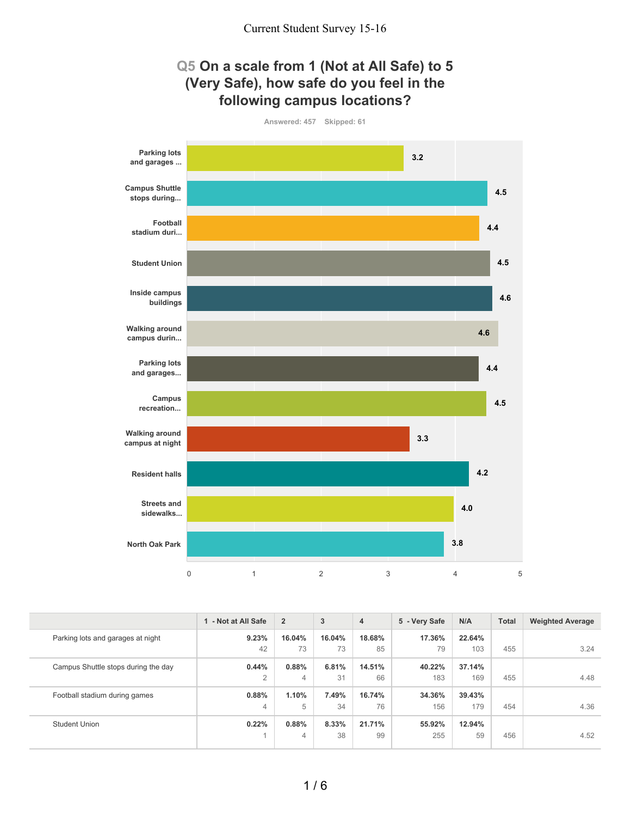

| - Not at All Safe | $\overline{2}$ | 3      | 4      | 5 - Very Safe | N/A    | <b>Total</b> | <b>Weighted Average</b> |
|-------------------|----------------|--------|--------|---------------|--------|--------------|-------------------------|
| 9.23%             | 16.04%         | 16.04% | 18.68% | 17.36%        | 22.64% |              |                         |
| 42                | 73             | 73     | 85     | 79            | 103    | 455          | 3.24                    |
| 0.44%             | 0.88%          | 6.81%  | 14.51% | 40.22%        | 37.14% |              |                         |
| $\overline{2}$    | 4              | 31     | 66     | 183           | 169    | 455          | 4.48                    |
| 0.88%             | 1.10%          | 7.49%  | 16.74% | 34.36%        | 39.43% |              |                         |
| 4                 | 5              | 34     | 76     | 156           | 179    | 454          | 4.36                    |
| 0.22%             | 0.88%          | 8.33%  | 21.71% | 55.92%        | 12.94% |              |                         |
|                   | 4              | 38     | 99     | 255           | 59     | 456          | 4.52                    |
|                   |                |        |        |               |        |              |                         |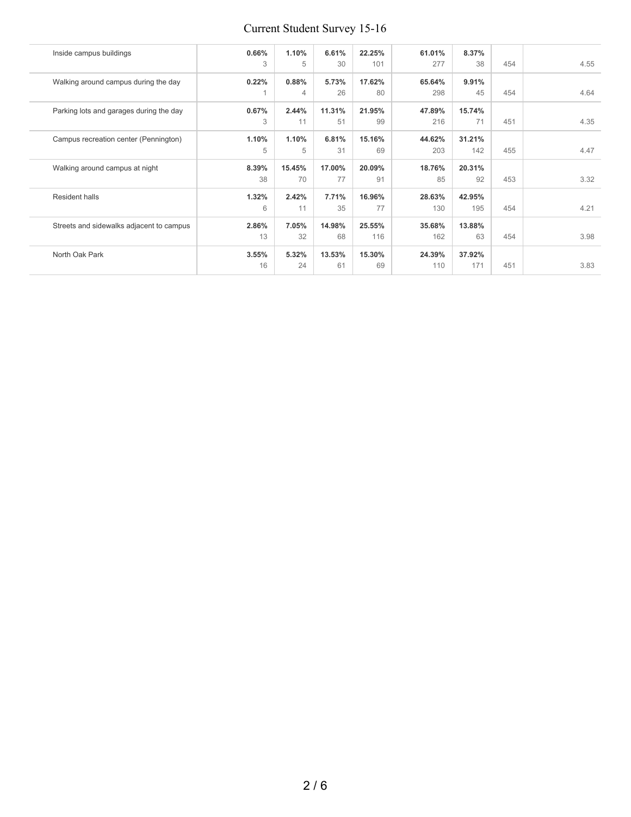# Current Student Survey 15-16

| Inside campus buildings                  | 0.66%<br>3  | 1.10%<br>5   | 6.61%<br>30  | 22.25%<br>101 | 61.01%<br>277 | 8.37%<br>38   | 454 | 4.55 |
|------------------------------------------|-------------|--------------|--------------|---------------|---------------|---------------|-----|------|
| Walking around campus during the day     | 0.22%       | 0.88%<br>4   | 5.73%<br>26  | 17.62%<br>80  | 65.64%<br>298 | 9.91%<br>45   | 454 | 4.64 |
| Parking lots and garages during the day  | 0.67%<br>3  | 2.44%<br>11  | 11.31%<br>51 | 21.95%<br>99  | 47.89%<br>216 | 15.74%<br>71  | 451 | 4.35 |
| Campus recreation center (Pennington)    | 1.10%<br>5  | 1.10%<br>5   | 6.81%<br>31  | 15.16%<br>69  | 44.62%<br>203 | 31.21%<br>142 | 455 | 4.47 |
| Walking around campus at night           | 8.39%<br>38 | 15.45%<br>70 | 17.00%<br>77 | 20.09%<br>91  | 18.76%<br>85  | 20.31%<br>92  | 453 | 3.32 |
| <b>Resident halls</b>                    | 1.32%<br>6  | 2.42%<br>11  | 7.71%<br>35  | 16.96%<br>77  | 28.63%<br>130 | 42.95%<br>195 | 454 | 4.21 |
| Streets and sidewalks adjacent to campus | 2.86%<br>13 | 7.05%<br>32  | 14.98%<br>68 | 25.55%<br>116 | 35.68%<br>162 | 13.88%<br>63  | 454 | 3.98 |
| North Oak Park                           | 3.55%<br>16 | 5.32%<br>24  | 13.53%<br>61 | 15.30%<br>69  | 24.39%<br>110 | 37.92%<br>171 | 451 | 3.83 |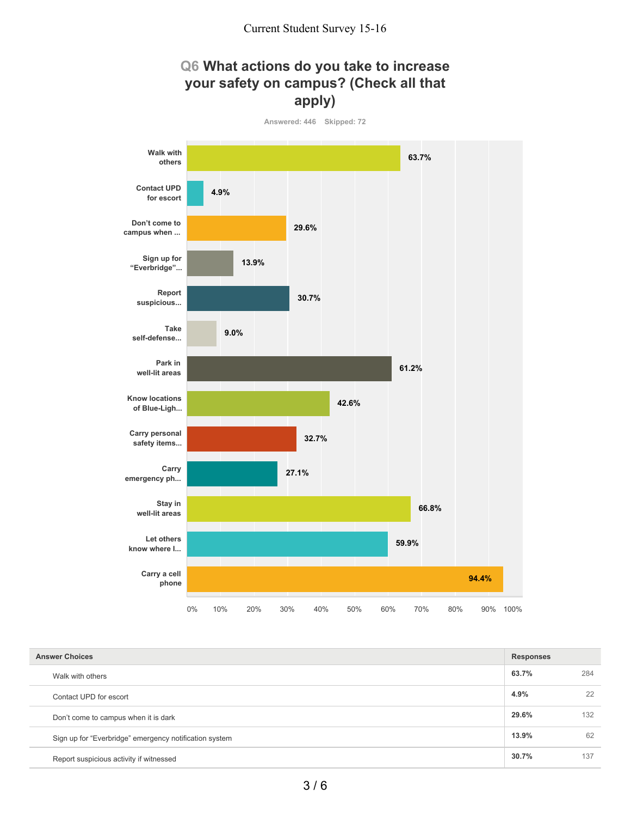# **Q6 What actions do you take to increase your safety on campus? (Check all that apply)**



| <b>Answer Choices</b>                                  | <b>Responses</b> |     |
|--------------------------------------------------------|------------------|-----|
| Walk with others                                       | 63.7%            | 284 |
| Contact UPD for escort                                 | 4.9%             | 22  |
| Don't come to campus when it is dark                   | 29.6%            | 132 |
| Sign up for "Everbridge" emergency notification system | 13.9%            | 62  |
| Report suspicious activity if witnessed                | 30.7%            | 137 |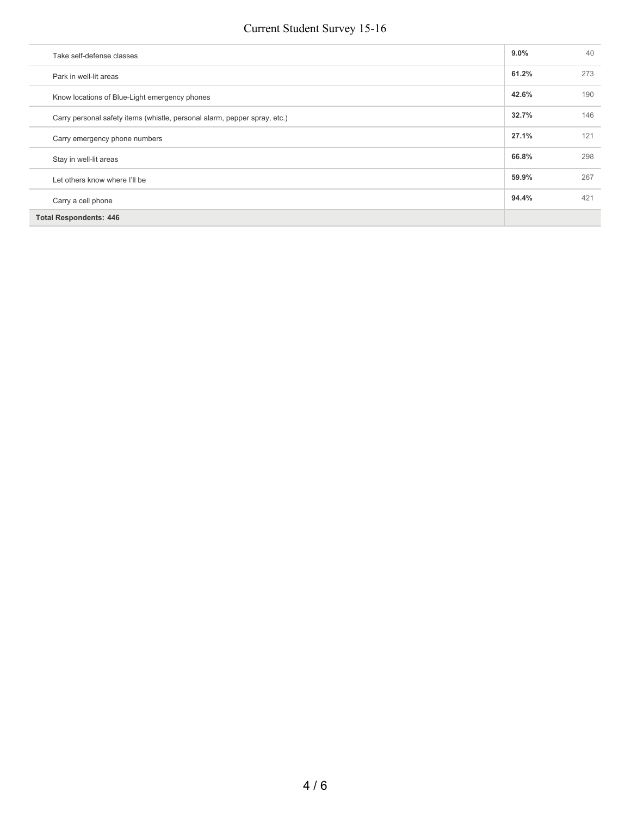#### Current Student Survey 15-16

| Take self-defense classes                                                 | $9.0\%$ | 40  |
|---------------------------------------------------------------------------|---------|-----|
| Park in well-lit areas                                                    | 61.2%   | 273 |
| Know locations of Blue-Light emergency phones                             | 42.6%   | 190 |
| Carry personal safety items (whistle, personal alarm, pepper spray, etc.) | 32.7%   | 146 |
| Carry emergency phone numbers                                             | 27.1%   | 121 |
| Stay in well-lit areas                                                    | 66.8%   | 298 |
| Let others know where I'll be                                             | 59.9%   | 267 |
| Carry a cell phone                                                        | 94.4%   | 421 |
| <b>Total Respondents: 446</b>                                             |         |     |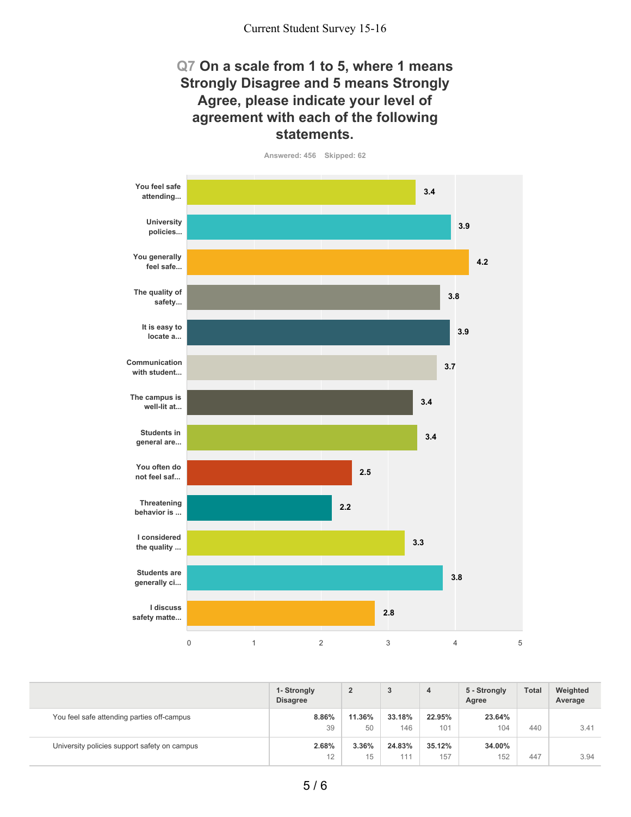### **Q7 On a scale from 1 to 5, where 1 means Strongly Disagree and 5 means Strongly Agree, please indicate your level of agreement with each of the following statements.**

**Answered: 456 Skipped: 62**

**You feel safe attending... University policies... You generally feel safe... The quality of safety... It is easy to locate a... Communication with student... The campus is well-lit at... Students in general are... You often do not feel saf... Threatening behavior is ... I considered the quality ... Students are generally ci... I discuss safety matte...** 0 1 2 3 4 5 **3.4 3.9 4.2 3.8 3.9 3.7 3.4 3.4 2.5 2.2 3.3 3.8 2.8**

|                                              | 1- Strongly<br><b>Disagree</b> | $\overline{2}$ | 3             | 4             | 5 - Strongly<br>Agree | <b>Total</b> | Weighted<br>Average |
|----------------------------------------------|--------------------------------|----------------|---------------|---------------|-----------------------|--------------|---------------------|
| You feel safe attending parties off-campus   | 8.86%<br>39                    | 11.36%<br>50   | 33.18%<br>146 | 22.95%<br>101 | 23.64%<br>104         | 440          | 3.41                |
| University policies support safety on campus | 2.68%<br>12                    | 3.36%<br>15    | 24.83%<br>111 | 35.12%<br>157 | 34.00%<br>152         | 447          | 3.94                |

5 / 6